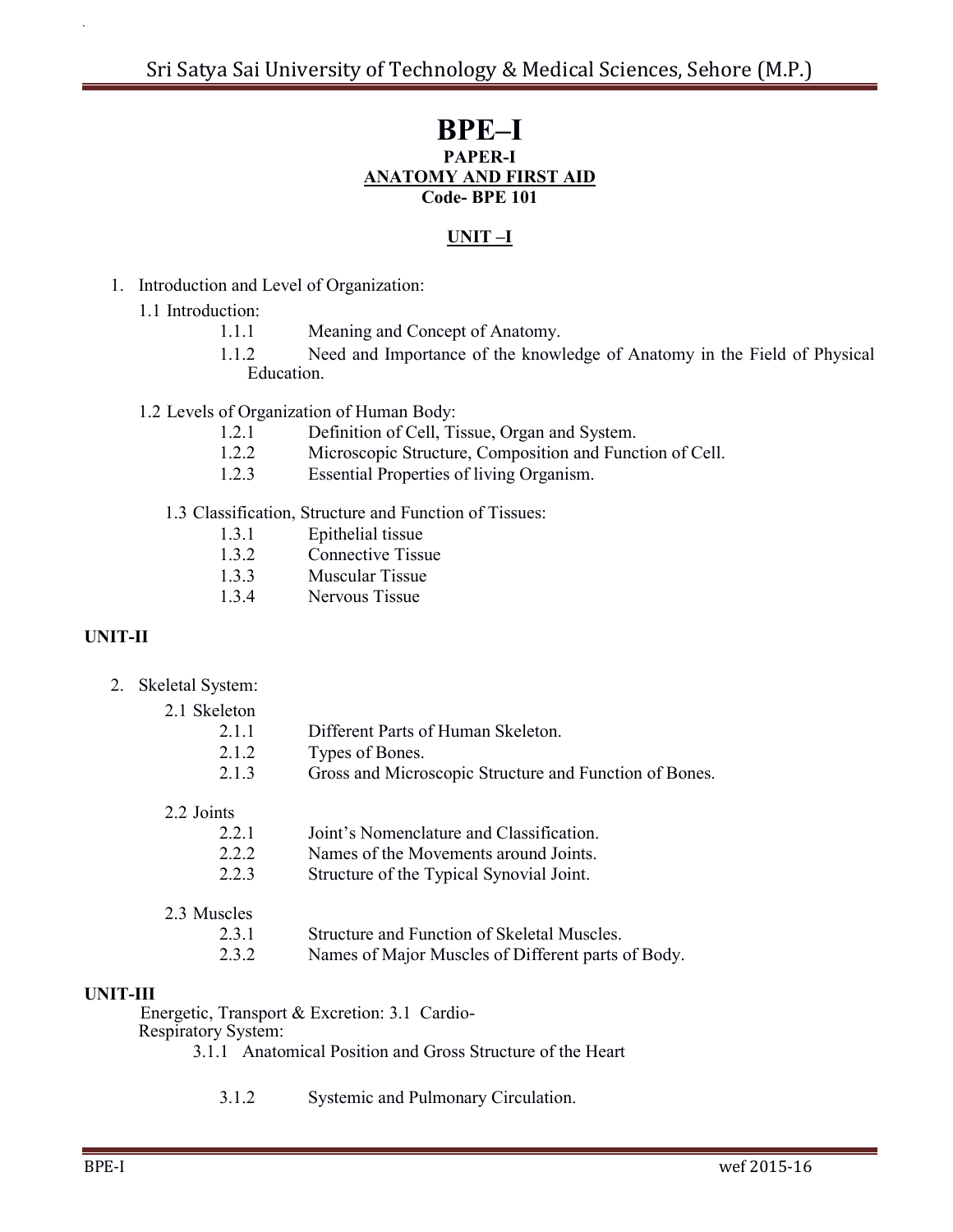# **BPE–I PAPER-I ANATOMY AND FIRST AID Code- BPE 101**

#### **UNIT –I**

- 1. Introduction and Level of Organization:
	- 1.1 Introduction:
		- 1.1.1 Meaning and Concept of Anatomy.
		- 1.1.2 Need and Importance of the knowledge of Anatomy in the Field of Physical Education.

1.2 Levels of Organization of Human Body:

- 1.2.1 Definition of Cell, Tissue, Organ and System.
- 1.2.2 Microscopic Structure, Composition and Function of Cell.
- 1.2.3 Essential Properties of living Organism.

1.3 Classification, Structure and Function of Tissues:

- 1.3.1 Epithelial tissue
- 1.3.2 Connective Tissue
- 1.3.3 Muscular Tissue
- 1.3.4 Nervous Tissue

# **UNIT-II**

2. Skeletal System:

| 2.1 Skeleton |                                                        |
|--------------|--------------------------------------------------------|
| 2.11         | Different Parts of Human Skeleton.                     |
| 212          | Types of Bones.                                        |
| 213          | Gross and Microscopic Structure and Function of Bones. |
|              |                                                        |

2.2 Joints

- 2.2.2 Names of the Movements around Joints.
- 2.2.3 Structure of the Typical Synovial Joint.

| 2.3.1 | Structure and Function of Skeletal Muscles. |
|-------|---------------------------------------------|
|       |                                             |

2.3.2 Names of Major Muscles of Different parts of Body.

## **UNIT-III**

Energetic, Transport & Excretion: 3.1 Cardio-

Respiratory System:

3.1.1 Anatomical Position and Gross Structure of the Heart

3.1.2 Systemic and Pulmonary Circulation.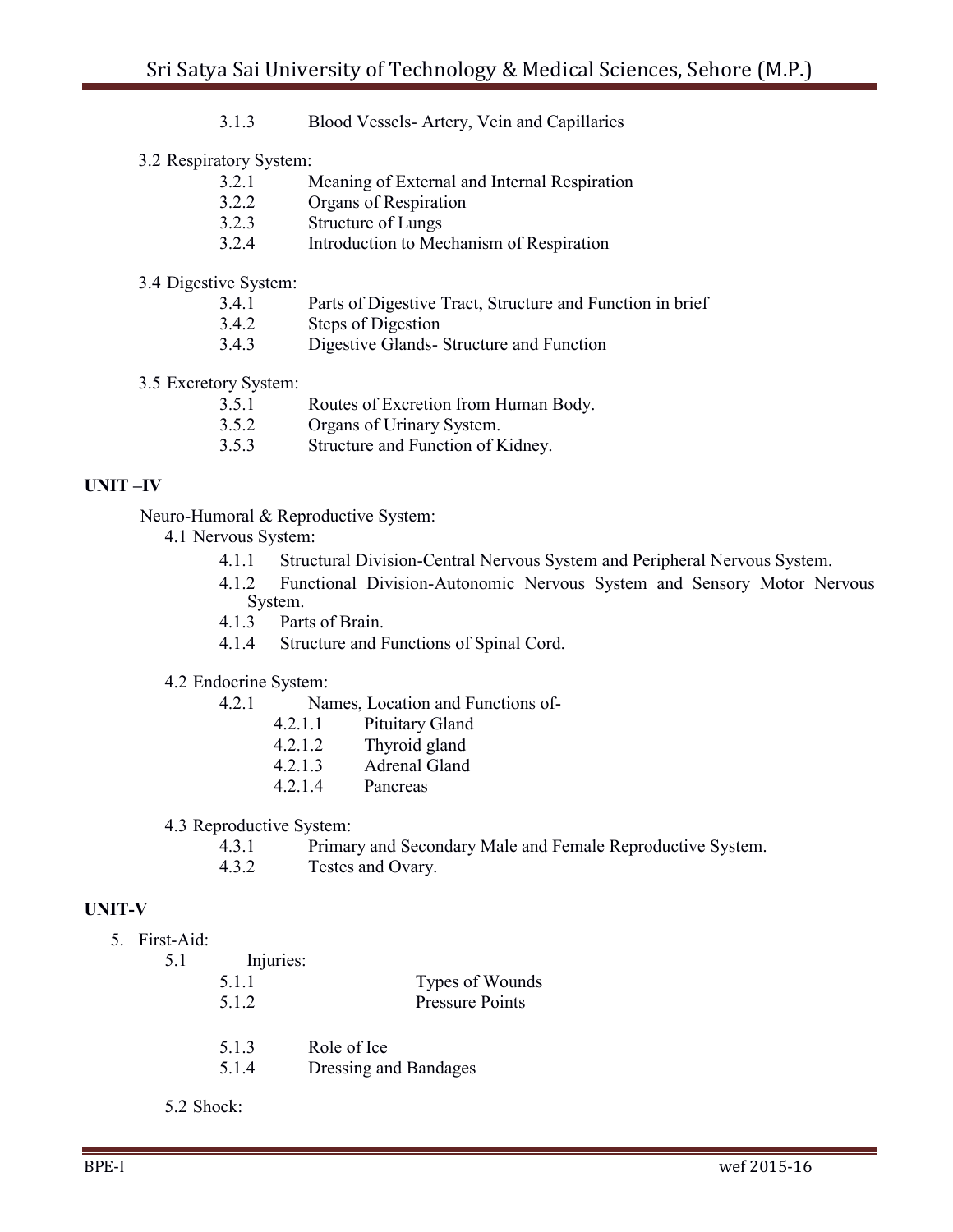3.1.3 Blood Vessels- Artery, Vein and Capillaries

3.2 Respiratory System:

- 3.2.1 Meaning of External and Internal Respiration
- 3.2.2 Organs of Respiration
- 3.2.3 Structure of Lungs
- 3.2.4 Introduction to Mechanism of Respiration

#### 3.4 Digestive System:

- 3.4.1 Parts of Digestive Tract, Structure and Function in brief
- 3.4.2 Steps of Digestion
- 3.4.3 Digestive Glands- Structure and Function
- 3.5 Excretory System:
	- 3.5.1 Routes of Excretion from Human Body.
	- 3.5.2 Organs of Urinary System.
	- 3.5.3 Structure and Function of Kidney.

## **UNIT –IV**

Neuro-Humoral & Reproductive System:

- 4.1 Nervous System:
	- 4.1.1 Structural Division-Central Nervous System and Peripheral Nervous System.
	- 4.1.2 Functional Division-Autonomic Nervous System and Sensory Motor Nervous System.
	- 4.1.3 Parts of Brain.
	- 4.1.4 Structure and Functions of Spinal Cord.

#### 4.2 Endocrine System:

- 4.2.1 Names, Location and Functions of-
	- 4.2.1.1 Pituitary Gland
	- 4.2.1.2 Thyroid gland
	- 4.2.1.3 Adrenal Gland
	- 4.2.1.4 Pancreas

4.3 Reproductive System:

- 4.3.1 Primary and Secondary Male and Female Reproductive System.
- 4.3.2 Testes and Ovary.

## **UNIT-V**

- 5. First-Aid:
	- 5.1 Injuries:

| .<br>5.1.1 | Types of Wounds        |
|------------|------------------------|
| 5.1.2      | <b>Pressure Points</b> |

- 5.1.3 Role of Ice
- 5.1.4 Dressing and Bandages
- 5.2 Shock: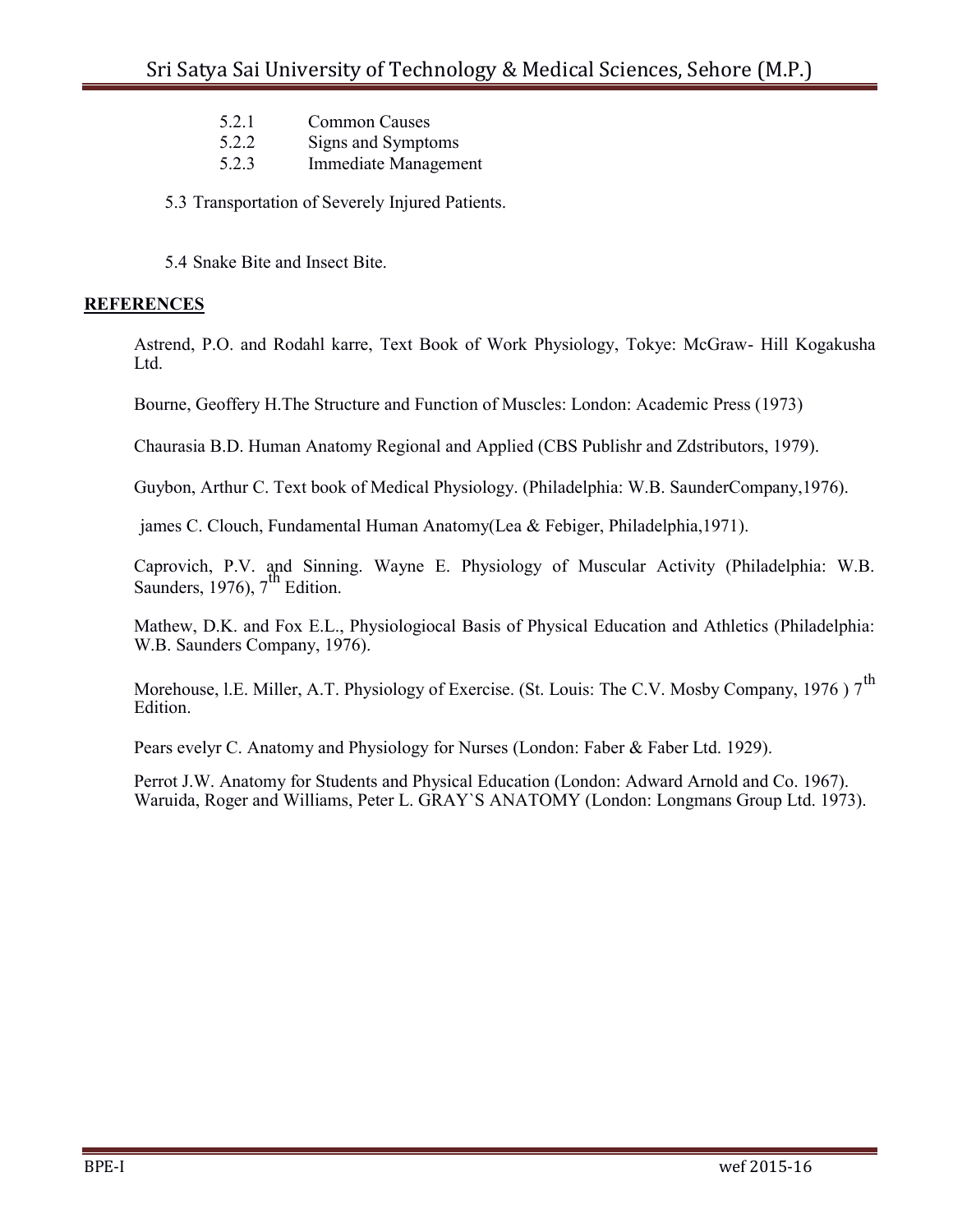- 5.2.1 Common Causes
- 5.2.2 Signs and Symptoms
- 5.2.3 Immediate Management

5.3 Transportation of Severely Injured Patients.

5.4 Snake Bite and Insect Bite.

## **REFERENCES**

Astrend, P.O. and Rodahl karre, Text Book of Work Physiology, Tokye: McGraw- Hill Kogakusha Ltd.

Bourne, Geoffery H.The Structure and Function of Muscles: London: Academic Press (1973)

Chaurasia B.D. Human Anatomy Regional and Applied (CBS Publishr and Zdstributors, 1979).

Guybon, Arthur C. Text book of Medical Physiology. (Philadelphia: W.B. SaunderCompany,1976).

james C. Clouch, Fundamental Human Anatomy(Lea & Febiger, Philadelphia,1971).

Caprovich, P.V. and Sinning. Wayne E. Physiology of Muscular Activity (Philadelphia: W.B. Saunders, 1976),  $7^{\text{th}}$  Edition.

Mathew, D.K. and Fox E.L., Physiologiocal Basis of Physical Education and Athletics (Philadelphia: W.B. Saunders Company, 1976).

Morehouse, l.E. Miller, A.T. Physiology of Exercise. (St. Louis: The C.V. Mosby Company, 1976) 7<sup>th</sup> Edition.

Pears evelyr C. Anatomy and Physiology for Nurses (London: Faber & Faber Ltd. 1929).

Perrot J.W. Anatomy for Students and Physical Education (London: Adward Arnold and Co. 1967). Waruida, Roger and Williams, Peter L. GRAY`S ANATOMY (London: Longmans Group Ltd. 1973).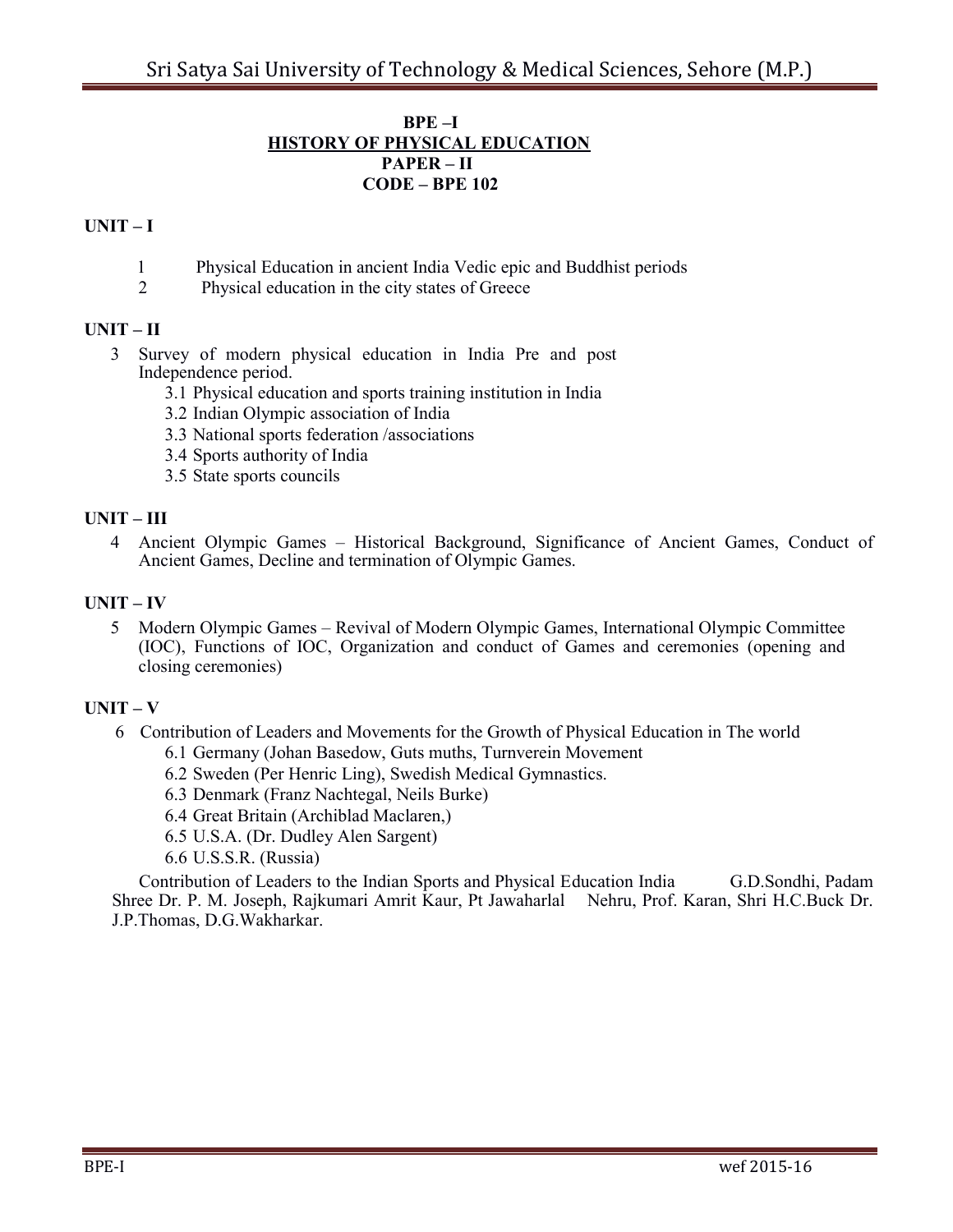#### **BPE –I HISTORY OF PHYSICAL EDUCATION PAPER – II CODE – BPE 102**

## $UNIT - I$

- 1 Physical Education in ancient India Vedic epic and Buddhist periods
- 2 Physical education in the city states of Greece

## **UNIT – II**

- Survey of modern physical education in India Pre and post Independence period.
	- 3.1 Physical education and sports training institution in India
	- 3.2 Indian Olympic association of India
	- 3.3 National sports federation /associations
	- 3.4 Sports authority of India
	- 3.5 State sports councils

## **UNIT – III**

 Ancient Olympic Games – Historical Background, Significance of Ancient Games, Conduct of Ancient Games, Decline and termination of Olympic Games.

#### **UNIT – IV**

 Modern Olympic Games – Revival of Modern Olympic Games, International Olympic Committee (IOC), Functions of IOC, Organization and conduct of Games and ceremonies (opening and closing ceremonies)

## $\mathbf{I} \mathbf{I} \mathbf{N} \mathbf{I} \mathbf{T} - \mathbf{V}$

- Contribution of Leaders and Movements for the Growth of Physical Education in The world
	- 6.1 Germany (Johan Basedow, Guts muths, Turnverein Movement
	- 6.2 Sweden (Per Henric Ling), Swedish Medical Gymnastics.
	- 6.3 Denmark (Franz Nachtegal, Neils Burke)
	- 6.4 Great Britain (Archiblad Maclaren,)
	- 6.5 U.S.A. (Dr. Dudley Alen Sargent)
	- 6.6 U.S.S.R. (Russia)

 Contribution of Leaders to the Indian Sports and Physical Education India G.D.Sondhi, Padam Shree Dr. P. M. Joseph, Rajkumari Amrit Kaur, Pt Jawaharlal Nehru, Prof. Karan, Shri H.C.Buck Dr. J.P.Thomas, D.G.Wakharkar.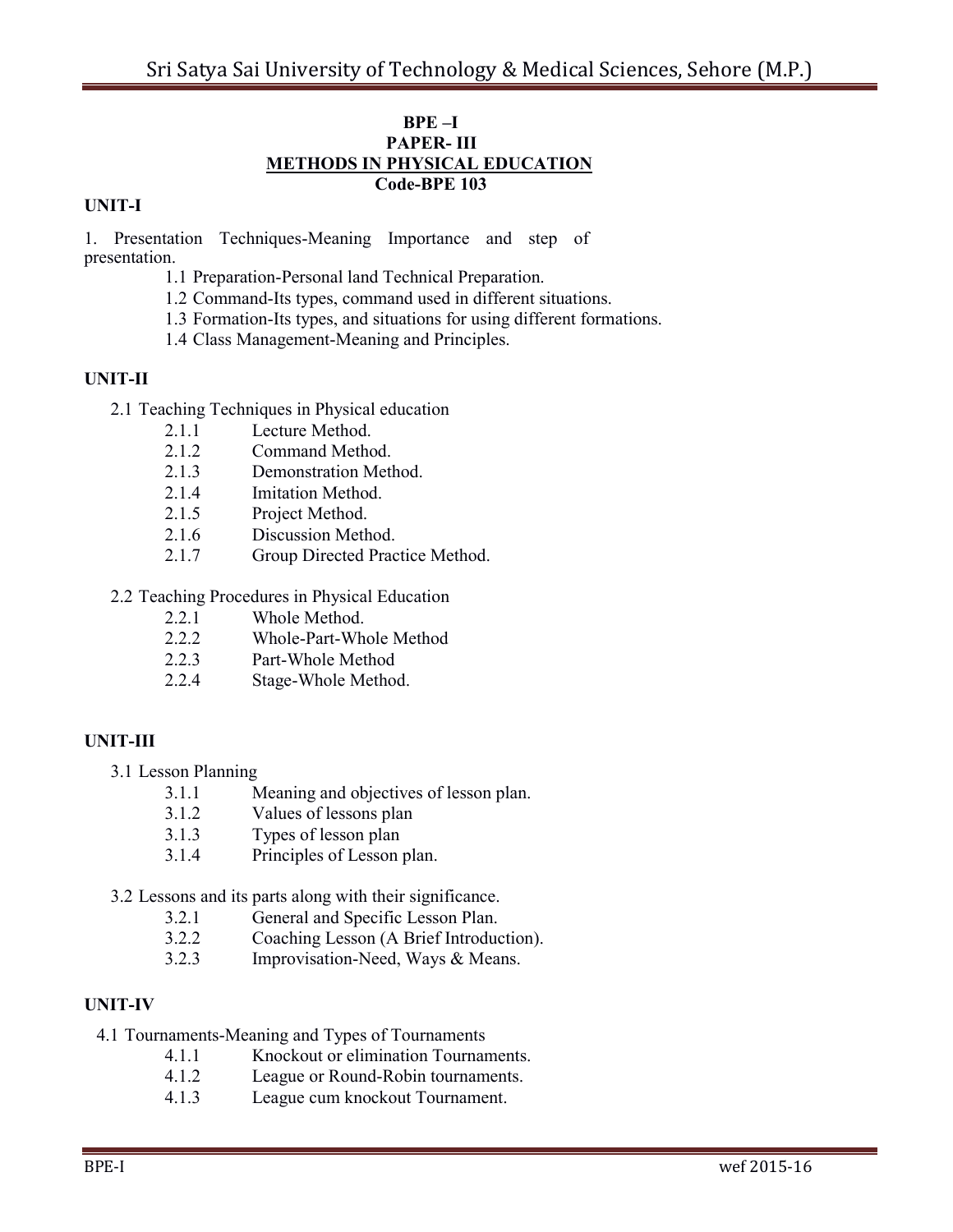#### **BPE –I PAPER- III METHODS IN PHYSICAL EDUCATION Code-BPE 103**

## **UNIT-I**

1. Presentation Techniques-Meaning Importance and step of presentation.

- 1.1 Preparation-Personal land Technical Preparation.
- 1.2 Command-Its types, command used in different situations.
- 1.3 Formation-Its types, and situations for using different formations.
- 1.4 Class Management-Meaning and Principles.

## **UNIT-II**

- 2.1 Teaching Techniques in Physical education
	- 2.1.1 Lecture Method.
	- 2.1.2 Command Method.
	- 2.1.3 Demonstration Method.
	- 2.1.4 Imitation Method.
	- 2.1.5 Project Method.
	- 2.1.6 Discussion Method.
	- 2.1.7 Group Directed Practice Method.
- 2.2 Teaching Procedures in Physical Education
	- 2.2.1 Whole Method.
	- 2.2.2 Whole-Part-Whole Method
	- 2.2.3 Part-Whole Method
	- 2.2.4 Stage-Whole Method.

## **UNIT-III**

- 3.1 Lesson Planning
	- 3.1.1 Meaning and objectives of lesson plan.
	- 3.1.2 Values of lessons plan
	- 3.1.3 Types of lesson plan
	- 3.1.4 Principles of Lesson plan.
- 3.2 Lessons and its parts along with their significance.
	- 3.2.1 General and Specific Lesson Plan.
	- 3.2.2 Coaching Lesson (A Brief Introduction).
	- 3.2.3 Improvisation-Need, Ways & Means.

## **UNIT-IV**

- 4.1 Tournaments-Meaning and Types of Tournaments
	- 4.1.1 Knockout or elimination Tournaments.
	- 4.1.2 League or Round-Robin tournaments.
	- 4.1.3 League cum knockout Tournament.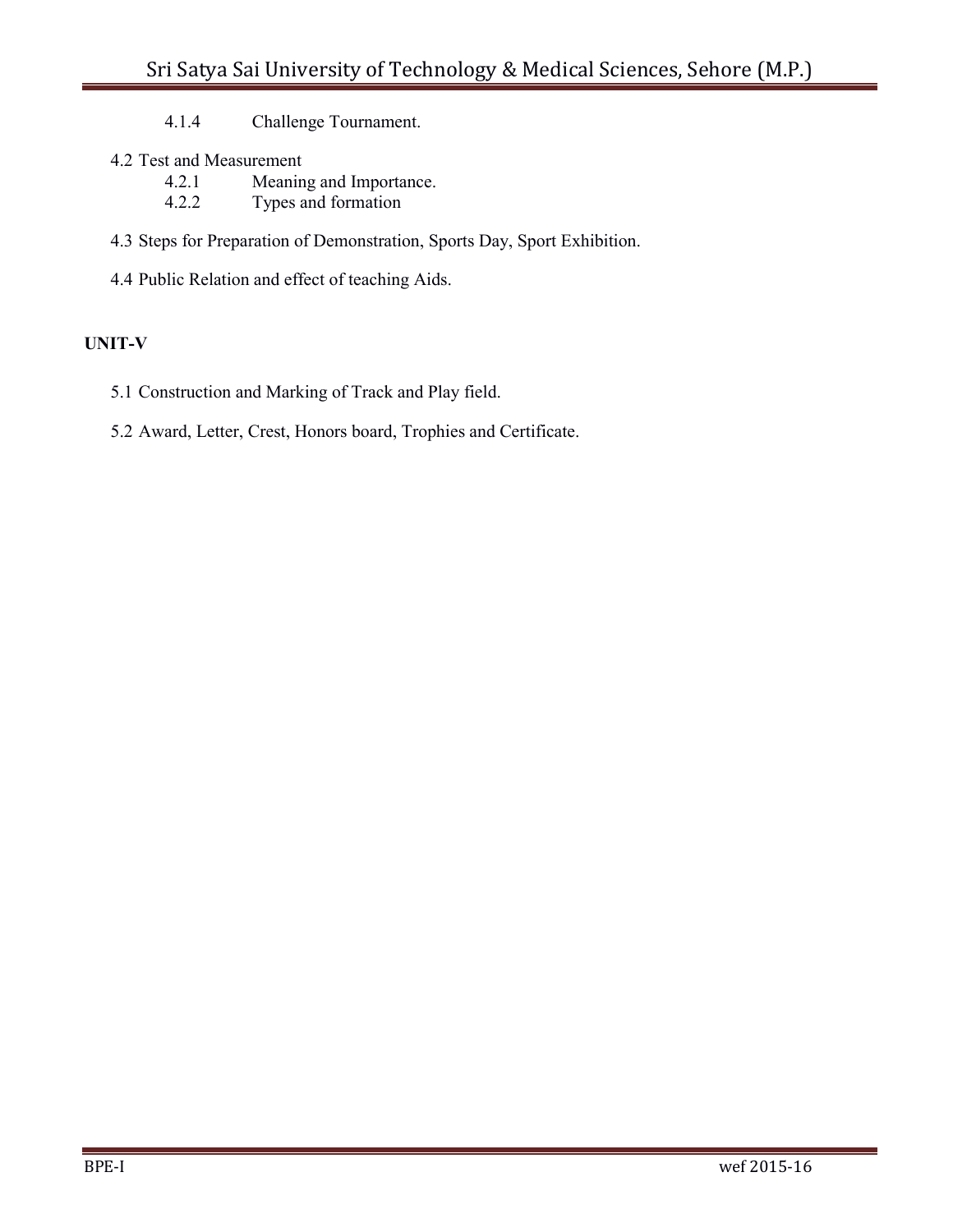4.1.4 Challenge Tournament.

- 4.2 Test and Measurement
	- 4.2.1 Meaning and Importance.<br>4.2.2 Types and formation
	- Types and formation
- 4.3 Steps for Preparation of Demonstration, Sports Day, Sport Exhibition.
- 4.4 Public Relation and effect of teaching Aids.

## **UNIT-V**

- 5.1 Construction and Marking of Track and Play field.
- 5.2 Award, Letter, Crest, Honors board, Trophies and Certificate.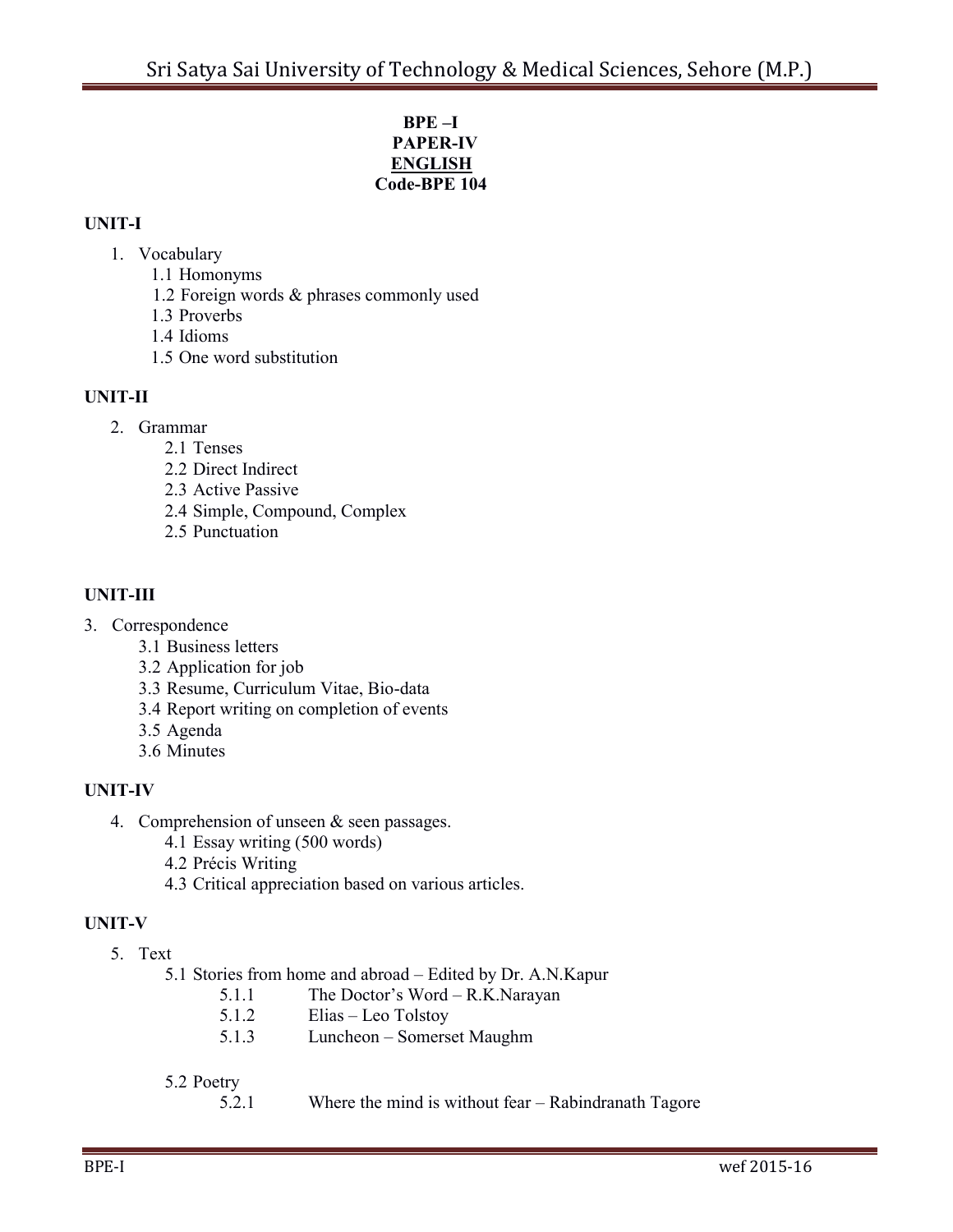#### **BPE –I PAPER-IV ENGLISH Code-BPE 104**

# **UNIT-I**

- 1. Vocabulary
	- 1.1 Homonyms
	- 1.2 Foreign words & phrases commonly used
	- 1.3 Proverbs
	- 1.4 Idioms
	- 1.5 One word substitution

# **UNIT-II**

- 2. Grammar
	- 2.1 Tenses
	- 2.2 Direct Indirect
	- 2.3 Active Passive
	- 2.4 Simple, Compound, Complex
	- 2.5 Punctuation

# **UNIT-III**

- 3. Correspondence
	- 3.1 Business letters
	- 3.2 Application for job
	- 3.3 Resume, Curriculum Vitae, Bio-data
	- 3.4 Report writing on completion of events
	- 3.5 Agenda
	- 3.6 Minutes

# **UNIT-IV**

- 4. Comprehension of unseen & seen passages.
	- 4.1 Essay writing (500 words)
	- 4.2 Précis Writing
	- 4.3 Critical appreciation based on various articles.

# **UNIT-V**

- 5. Text
	- 5.1 Stories from home and abroad Edited by Dr. A.N.Kapur
		- 5.1.1 The Doctor's Word R.K.Narayan
		- 5.1.2 Elias Leo Tolstoy
		- 5.1.3 Luncheon Somerset Maughm

# 5.2 Poetry

5.2.1 Where the mind is without fear – Rabindranath Tagore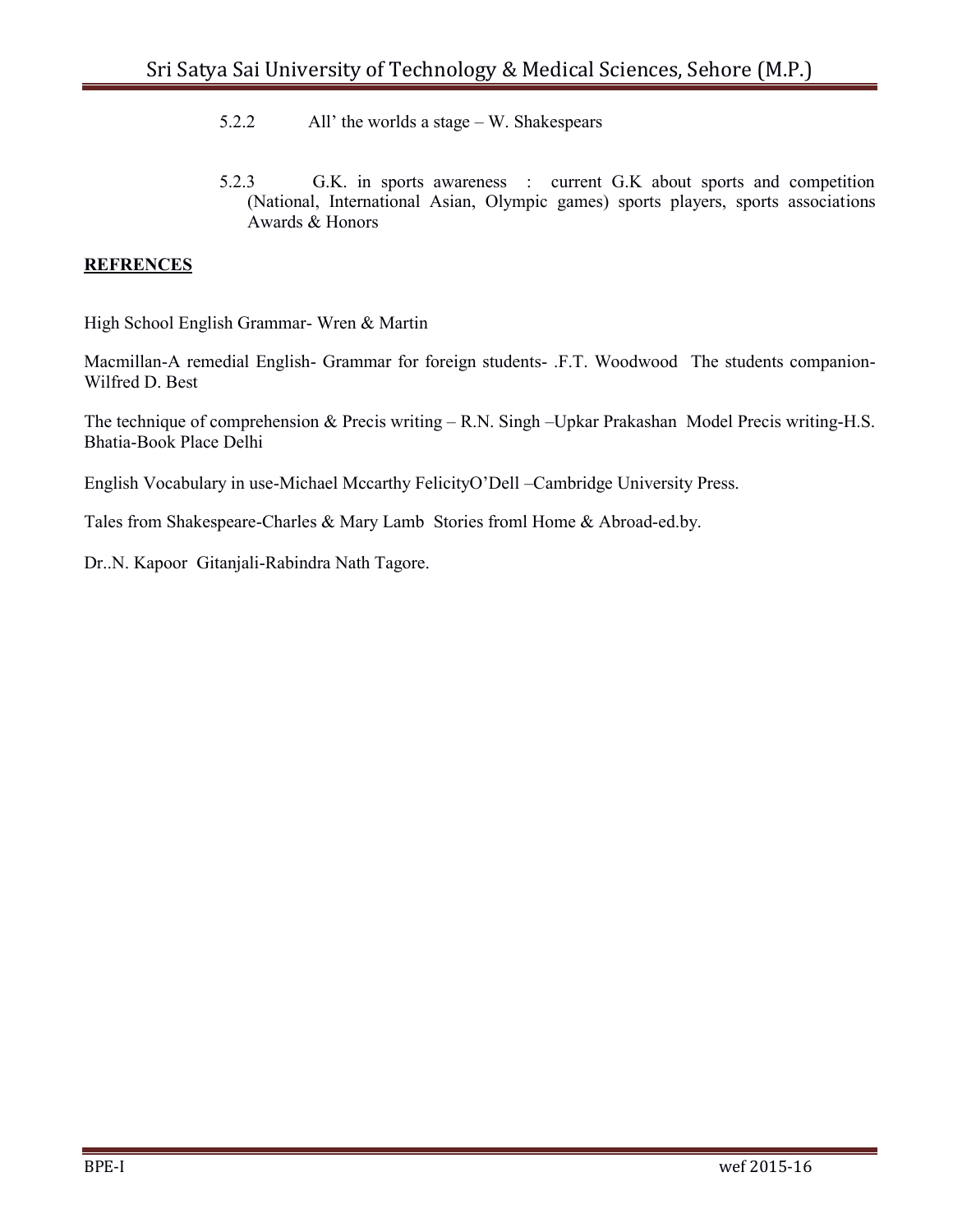- 5.2.2 All' the worlds a stage W. Shakespears
- 5.2.3 G.K. in sports awareness : current G.K about sports and competition (National, International Asian, Olympic games) sports players, sports associations Awards & Honors

## **REFRENCES**

High School English Grammar- Wren & Martin

Macmillan-A remedial English- Grammar for foreign students- .F.T. Woodwood The students companion-Wilfred D. Best

The technique of comprehension & Precis writing – R.N. Singh –Upkar Prakashan Model Precis writing-H.S. Bhatia-Book Place Delhi

English Vocabulary in use-Michael Mccarthy FelicityO'Dell –Cambridge University Press.

Tales from Shakespeare-Charles & Mary Lamb Stories froml Home & Abroad-ed.by.

Dr..N. Kapoor Gitanjali-Rabindra Nath Tagore.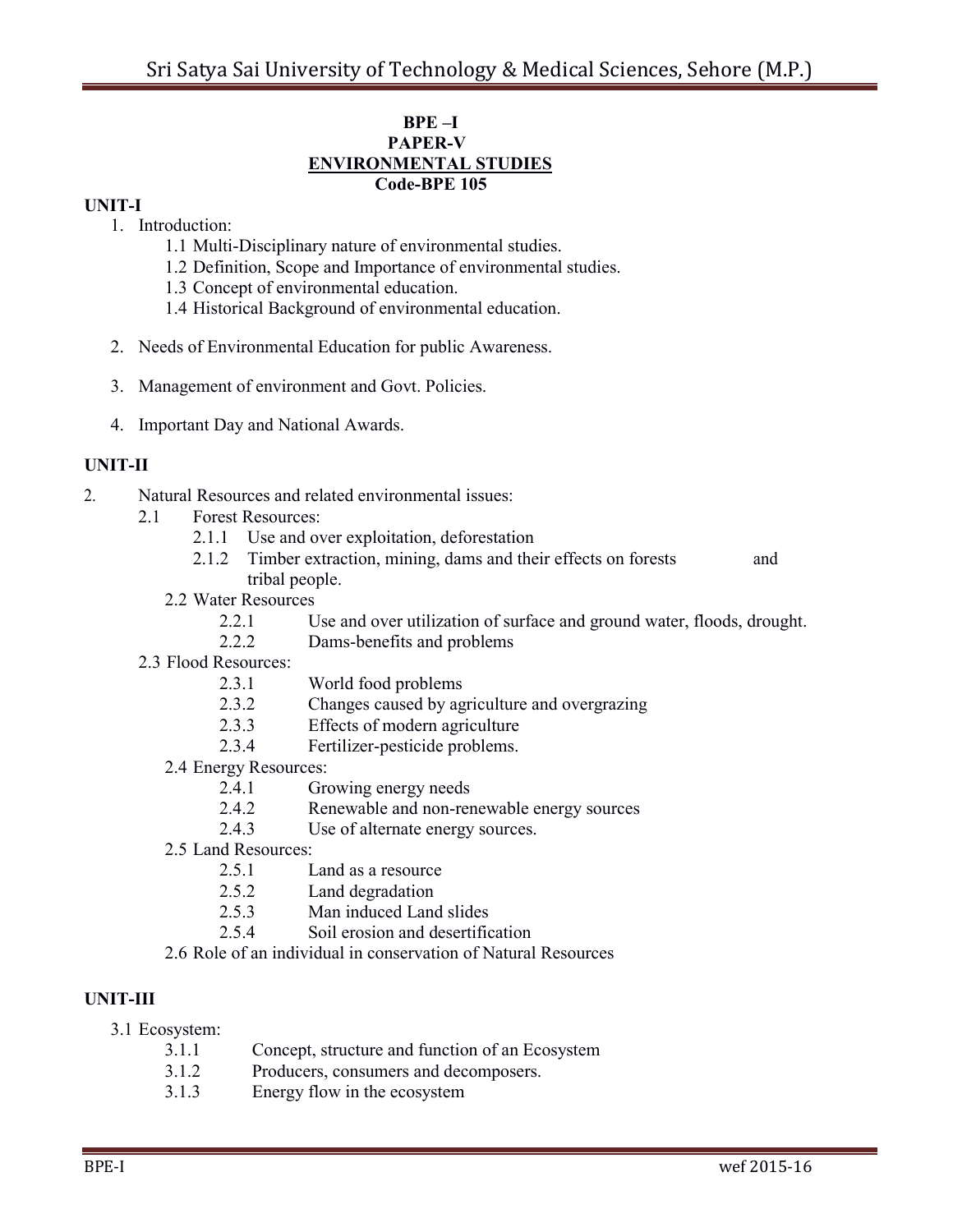#### **BPE –I PAPER-V ENVIRONMENTAL STUDIES Code-BPE 105**

#### **UNIT-I**

- 1. Introduction:
	- 1.1 Multi-Disciplinary nature of environmental studies.
	- 1.2 Definition, Scope and Importance of environmental studies.
	- 1.3 Concept of environmental education.
	- 1.4 Historical Background of environmental education.
- 2. Needs of Environmental Education for public Awareness.
- 3. Management of environment and Govt. Policies.
- 4. Important Day and National Awards.

## **UNIT-II**

- 2. Natural Resources and related environmental issues:
	- 2.1 Forest Resources:
		- 2.1.1 Use and over exploitation, deforestation
		- 2.1.2 Timber extraction, mining, dams and their effects on forests and tribal people.
		- 2.2 Water Resources
			- 2.2.1 Use and over utilization of surface and ground water, floods, drought.
			- 2.2.2 Dams-benefits and problems
	- 2.3 Flood Resources:
		- 2.3.1 World food problems
		- 2.3.2 Changes caused by agriculture and overgrazing
		- 2.3.3 Effects of modern agriculture
		- 2.3.4 Fertilizer-pesticide problems.
		- 2.4 Energy Resources:
			- 2.4.1 Growing energy needs
			- 2.4.2 Renewable and non-renewable energy sources
			- 2.4.3 Use of alternate energy sources.
		- 2.5 Land Resources:
			- 2.5.1 Land as a resource
			- 2.5.2 Land degradation
			- 2.5.3 Man induced Land slides
			- 2.5.4 Soil erosion and desertification
		- 2.6 Role of an individual in conservation of Natural Resources

## **UNIT-III**

- 3.1 Ecosystem:
	- 3.1.1 Concept, structure and function of an Ecosystem
	- 3.1.2 Producers, consumers and decomposers.
	- 3.1.3 Energy flow in the ecosystem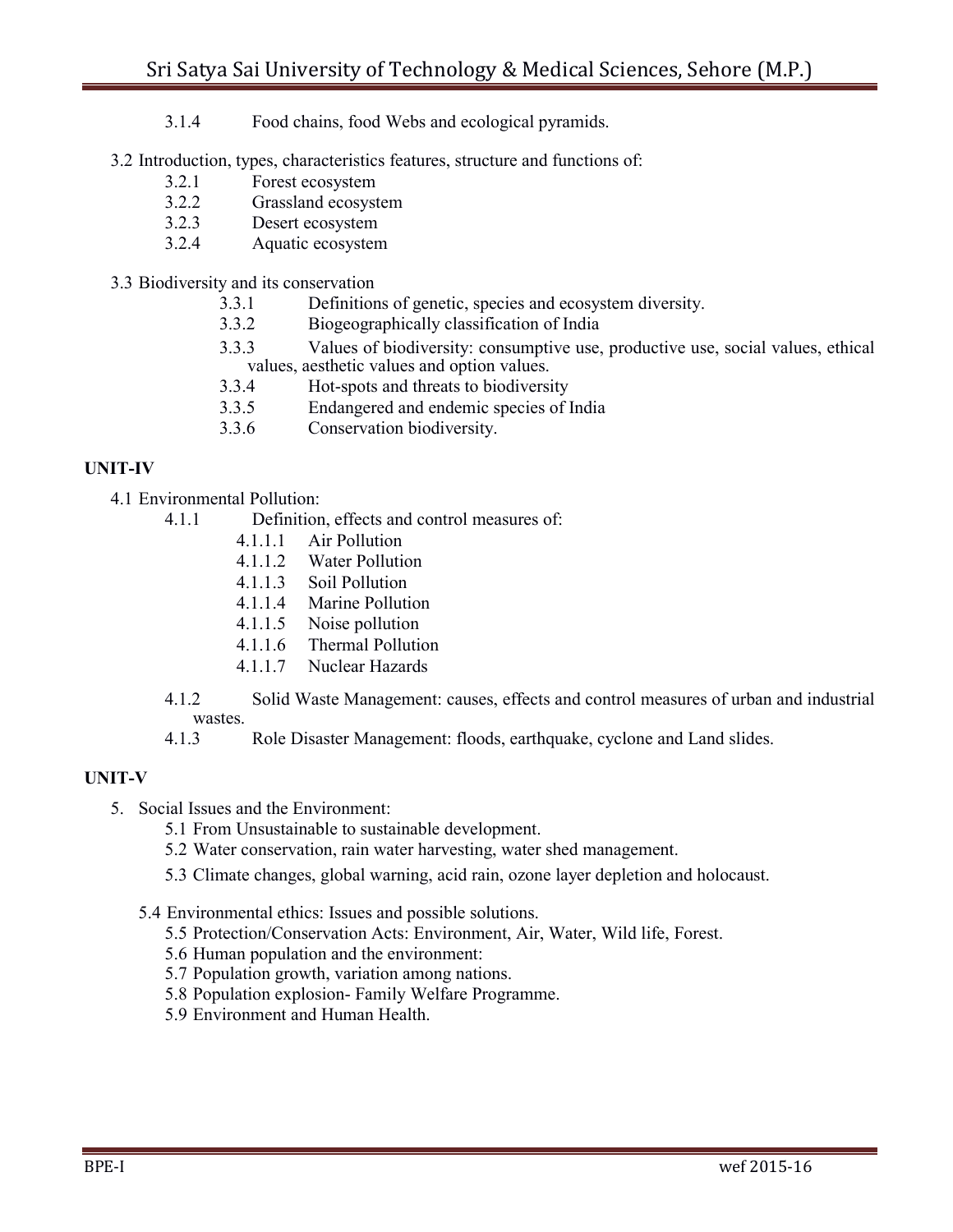- 3.1.4 Food chains, food Webs and ecological pyramids.
- 3.2 Introduction, types, characteristics features, structure and functions of:
	- 3.2.1 Forest ecosystem
	- 3.2.2 Grassland ecosystem
	- 3.2.3 Desert ecosystem
	- 3.2.4 Aquatic ecosystem
- 3.3 Biodiversity and its conservation
	- 3.3.1 Definitions of genetic, species and ecosystem diversity.
	- 3.3.2 Biogeographically classification of India
	- 3.3.3 Values of biodiversity: consumptive use, productive use, social values, ethical values, aesthetic values and option values.
	- 3.3.4 Hot-spots and threats to biodiversity
	- 3.3.5 Endangered and endemic species of India
	- 3.3.6 Conservation biodiversity.

#### **UNIT-IV**

- 4.1 Environmental Pollution:
	- 4.1.1 Definition, effects and control measures of:
		- 4.1.1.1 Air Pollution
		- 4.1.1.2 Water Pollution
		- 4.1.1.3 Soil Pollution
		- 4.1.1.4 Marine Pollution
		- 4.1.1.5 Noise pollution
		- 4.1.1.6 Thermal Pollution
		- 4.1.1.7 Nuclear Hazards
	- 4.1.2 Solid Waste Management: causes, effects and control measures of urban and industrial wastes.
	- 4.1.3 Role Disaster Management: floods, earthquake, cyclone and Land slides.

## **UNIT-V**

- 5. Social Issues and the Environment:
	- 5.1 From Unsustainable to sustainable development.
	- 5.2 Water conservation, rain water harvesting, water shed management.
	- 5.3 Climate changes, global warning, acid rain, ozone layer depletion and holocaust.
	- 5.4 Environmental ethics: Issues and possible solutions.
		- 5.5 Protection/Conservation Acts: Environment, Air, Water, Wild life, Forest.
		- 5.6 Human population and the environment:
		- 5.7 Population growth, variation among nations.
		- 5.8 Population explosion- Family Welfare Programme.
		- 5.9 Environment and Human Health.